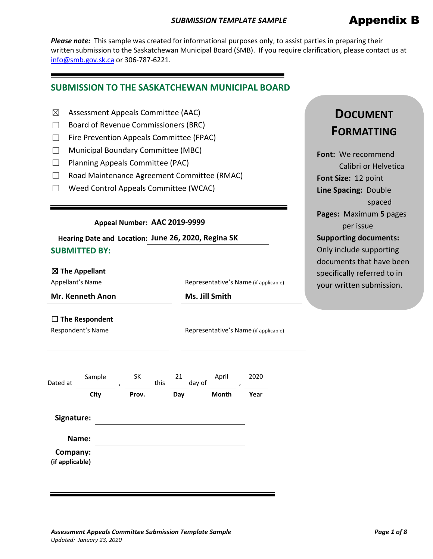#### *SUBMISSION TEMPLATE SAMPLE*

## Appendix B

*Please note:* This sample was created for informational purposes only, to assist parties in preparing their written submission to the Saskatchewan Municipal Board (SMB). If you require clarification, please contact us at [info@smb.gov.sk.ca](mailto:info@smb.gov.sk.ca) or 306-787-6221.

#### **SUBMISSION TO THE SASKATCHEWAN MUNICIPAL BOARD**

- $\boxtimes$  Assessment Appeals Committee (AAC)
- ☐ Board of Revenue Commissioners (BRC)
- ☐ Fire Prevention Appeals Committee (FPAC)
- ☐ Municipal Boundary Committee (MBC)
- ☐ Planning Appeals Committee (PAC)
- ☐ Road Maintenance Agreement Committee (RMAC)
- ☐ Weed Control Appeals Committee (WCAC)

#### **Appeal Number: AAC 2019-9999**

**SUBMITTED BY: Hearing Date and Location: June 26, 2020, Regina SK**

#### ☒ **The Appellant**

**Mr. Kenneth Anon Ms. Jill Smith**

Appellant's Name The Representative's Name (if applicable)

## **DOCUMENT FORMATTING**

**Font:** We recommend Calibri or Helvetica **Font Size:** 12 point **Line Spacing:** Double spaced **Pages:** Maximum **5** pages per issue **Supporting documents:** Only include supporting documents that have been specifically referred to in your written submission.

#### ☐ **The Respondent**

Respondent's Name The Representative's Name (if applicable)

| Dated at                    | Sample | , | SK    | this | 21  | day of | April        | , | 2020 |
|-----------------------------|--------|---|-------|------|-----|--------|--------------|---|------|
|                             | City   |   | Prov. |      | Day |        | <b>Month</b> |   | Year |
| Signature:                  |        |   |       |      |     |        |              |   |      |
|                             | Name:  |   |       |      |     |        |              |   |      |
| Company:<br>(if applicable) |        |   |       |      |     |        |              |   |      |
|                             |        |   |       |      |     |        |              |   |      |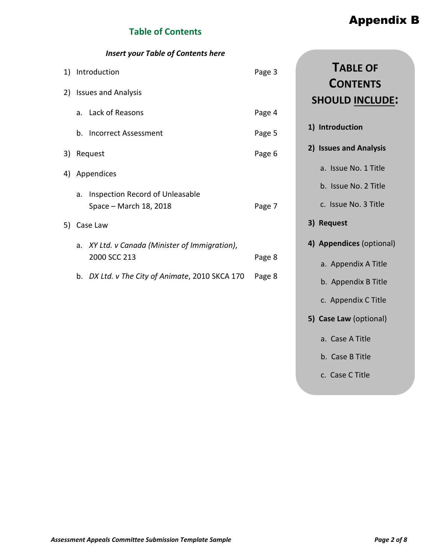## Appendix B

## **Table of Contents**

# *Insert your Table of Contents here* 1) Introduction Page 3 2) Issues and Analysis a. Lack of Reasons **Page 4** b. Incorrect Assessment **Page 5** 3) Request Page 6 4) Appendices a. Inspection Record of Unleasable Space – March 18, 2018 Page 7 5) Case Law a. *XY Ltd. v Canada (Minister of Immigration)*, 2000 SCC 213 Page 8 b. *DX Ltd. v The City of Animate*, 2010 SKCA 170 Page 8

- **1) Introduction**
- **2) Issues and Analysis**
	- a. Issue No. 1 Title
	- b. Issue No. 2 Title
	- c. Issue No. 3 Title
- **3) Request**
- **4) Appendices** (optional)
	- a. Appendix A Title
	- b. Appendix B Title
	- c. Appendix C Title
- **5) Case Law** (optional)
	- a. Case A Title
	- b. Case B Title
	- c. Case C Title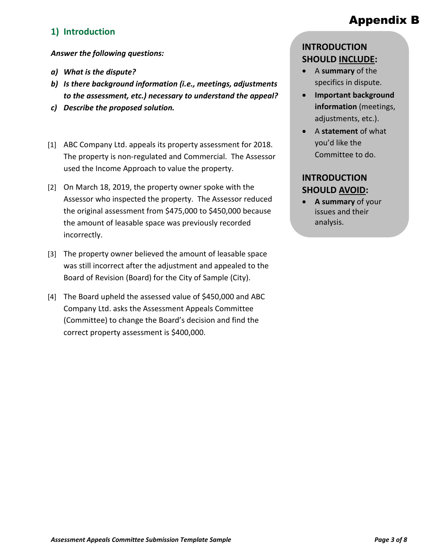#### **1) Introduction**

# Appendix B

#### *Answer the following questions:*

- *a) What is the dispute?*
- *b) Is there background information (i.e., meetings, adjustments to the assessment, etc.) necessary to understand the appeal?*
- *c) Describe the proposed solution.*
- [1] ABC Company Ltd. appeals its property assessment for 2018. The property is non-regulated and Commercial. The Assessor used the Income Approach to value the property.
- [2] On March 18, 2019, the property owner spoke with the Assessor who inspected the property. The Assessor reduced the original assessment from \$475,000 to \$450,000 because the amount of leasable space was previously recorded incorrectly.
- [3] The property owner believed the amount of leasable space was still incorrect after the adjustment and appealed to the Board of Revision (Board) for the City of Sample (City).
- [4] The Board upheld the assessed value of \$450,000 and ABC Company Ltd. asks the Assessment Appeals Committee (Committee) to change the Board's decision and find the correct property assessment is \$400,000.

## **INTRODUCTION SHOULD INCLUDE:**

- A **summary** of the specifics in dispute.
- **Important background information** (meetings, adjustments, etc.).
- A **statement** of what you'd like the Committee to do.

#### **INTRODUCTION SHOULD AVOID:**

• **A summary** of your issues and their analysis.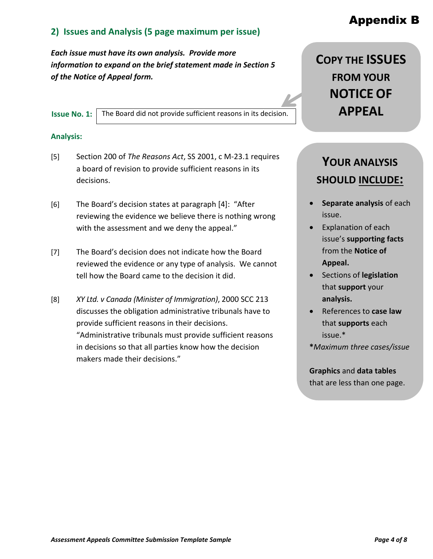#### **2) Issues and Analysis (5 page maximum per issue)**

*Each issue must have its own analysis. Provide more information to expand on the brief statement made in Section 5 of the Notice of Appeal form.*

**Issue No. 1:** The Board did not provide sufficient reasons in its decision.

#### **Analysis:**

- [5] Section 200 of *The Reasons Act*, SS 2001, c M-23.1 requires a board of revision to provide sufficient reasons in its decisions.
- [6] The Board's decision states at paragraph [4]: "After reviewing the evidence we believe there is nothing wrong with the assessment and we deny the appeal."
- [7] The Board's decision does not indicate how the Board reviewed the evidence or any type of analysis. We cannot tell how the Board came to the decision it did.
- [8] *XY Ltd. v Canada (Minister of Immigration)*, 2000 SCC 213 discusses the obligation administrative tribunals have to provide sufficient reasons in their decisions. "Administrative tribunals must provide sufficient reasons in decisions so that all parties know how the decision makers made their decisions."

# **COPY THE ISSUES FROM YOUR NOTICE OF APPEAL**

# **YOUR ANALYSIS SHOULD INCLUDE:**

- **Separate analysis** of each issue.
- Explanation of each issue's **supporting facts** from the **Notice of Appeal.**
- Sections of **legislation** that **support** your **analysis.**
- References to **case law**  that **supports** each issue.\*
- **\****Maximum three cases/issue*

**Graphics** and **data tables** that are less than one page.

## Appendix B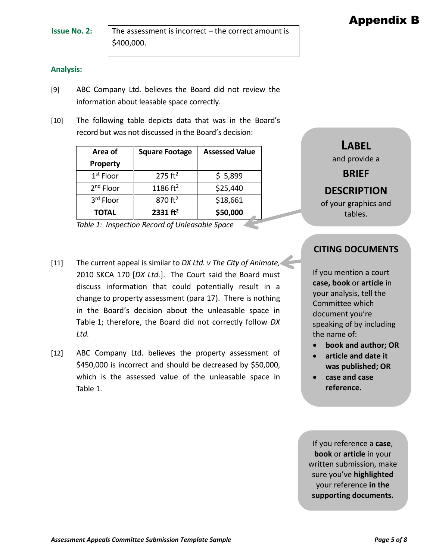**Issue No. 2:** The assessment is incorrect – the correct amount is \$400,000.

#### **Analysis:**

- [9] ABC Company Ltd. believes the Board did not review the information about leasable space correctly.
- [10] The following table depicts data that was in the Board's record but was not discussed in the Board's decision:

| Area of         | <b>Square Footage</b> | <b>Assessed Value</b> |  |  |  |
|-----------------|-----------------------|-----------------------|--|--|--|
| <b>Property</b> |                       |                       |  |  |  |
| $1st$ Floor     | $275 \text{ ft}^2$    | \$5,899               |  |  |  |
| $2nd$ Floor     | 1186 $ft2$            | \$25,440              |  |  |  |
| 3rd Floor       | $870$ ft <sup>2</sup> | \$18,661              |  |  |  |
| <b>TOTAL</b>    | 2331 ft <sup>2</sup>  | \$50,000              |  |  |  |

*Table 1: Inspection Record of Unleasable Space*

- [11] The current appeal is similar to *DX Ltd. v The City of Animate,* 2010 SKCA 170 [*DX Ltd.*]. The Court said the Board must discuss information that could potentially result in a change to property assessment (para 17). There is nothing in the Board's decision about the unleasable space in Table 1; therefore, the Board did not correctly follow *DX Ltd.*
- [12] ABC Company Ltd. believes the property assessment of \$450,000 is incorrect and should be decreased by \$50,000, which is the assessed value of the unleasable space in Table 1.

#### **CITING DOCUMENTS**

**LABEL** and provide a

**BRIEF** 

**DESCRIPTION** of your graphics and tables.

If you mention a court **case, book** or **article** in your analysis, tell the Committee which document you're speaking of by including the name of:

- **book and author; OR**
- **article and date it was published; OR**
- **case and case reference.**

If you reference a **case**, **book** or **article** in your written submission, make sure you've **highlighted** your reference **in the supporting documents.**

# Appendix B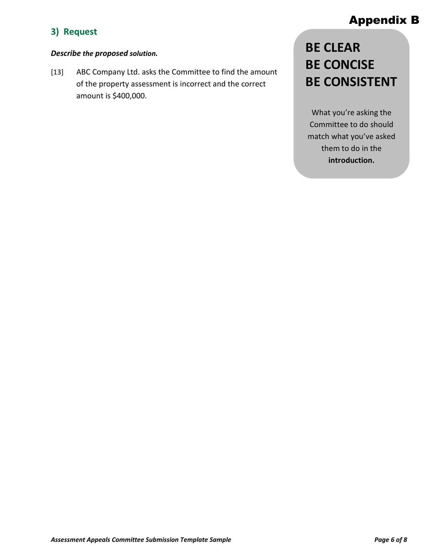## **3) Request**

#### *Describe the proposed solution.*

[13] ABC Company Ltd. asks the Committee to find the amount of the property assessment is incorrect and the correct amount is \$400,000.

## Appendix B

# **BE CLEAR BE CONCISE BE CONSISTENT**

What you're asking the Committee to do should match what you've asked them to do in the **introduction.**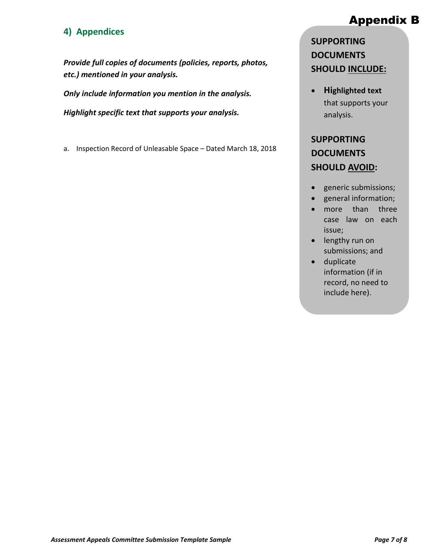## **4) Appendices**

*Provide full copies of documents (policies, reports, photos, etc.) mentioned in your analysis.* 

*Only include information you mention in the analysis.*

*Highlight specific text that supports your analysis.*

a. Inspection Record of Unleasable Space – Dated March 18, 2018

## Appendix B

## **SUPPORTING DOCUMENTS SHOULD INCLUDE:**

• **Highlighted text** that supports your analysis.

## **SUPPORTING DOCUMENTS SHOULD AVOID:**

- generic submissions;
- general information;
- more than three case law on each issue;
- lengthy run on submissions; and
- duplicate information (if in record, no need to include here).